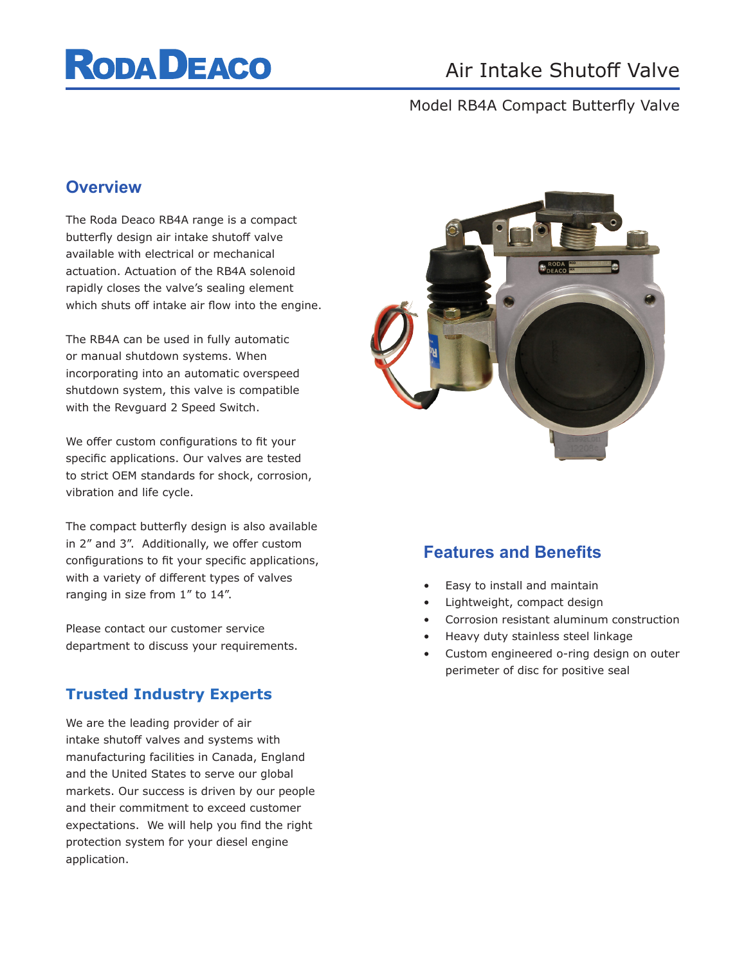# **RODA DEACO**

# Air Intake Shutoff Valve

#### Model RB4A Compact Butterfly Valve

### **Overview**

The Roda Deaco RB4A range is a compact butterfly design air intake shutoff valve available with electrical or mechanical actuation. Actuation of the RB4A solenoid rapidly closes the valve's sealing element which shuts off intake air flow into the engine.

The RB4A can be used in fully automatic or manual shutdown systems. When incorporating into an automatic overspeed shutdown system, this valve is compatible with the Revguard 2 Speed Switch.

We offer custom configurations to fit your specific applications. Our valves are tested to strict OEM standards for shock, corrosion, vibration and life cycle.

The compact butterfly design is also available in 2" and 3". Additionally, we offer custom configurations to fit your specific applications, with a variety of different types of valves ranging in size from 1" to 14".

Please contact our customer service department to discuss your requirements.

### **Trusted Industry Experts**

We are the leading provider of air intake shutoff valves and systems with manufacturing facilities in Canada, England and the United States to serve our global markets. Our success is driven by our people and their commitment to exceed customer expectations. We will help you find the right protection system for your diesel engine application.



## **Features and Benefits**

- Easy to install and maintain
- Lightweight, compact design
- Corrosion resistant aluminum construction
- Heavy duty stainless steel linkage
- Custom engineered o-ring design on outer perimeter of disc for positive seal